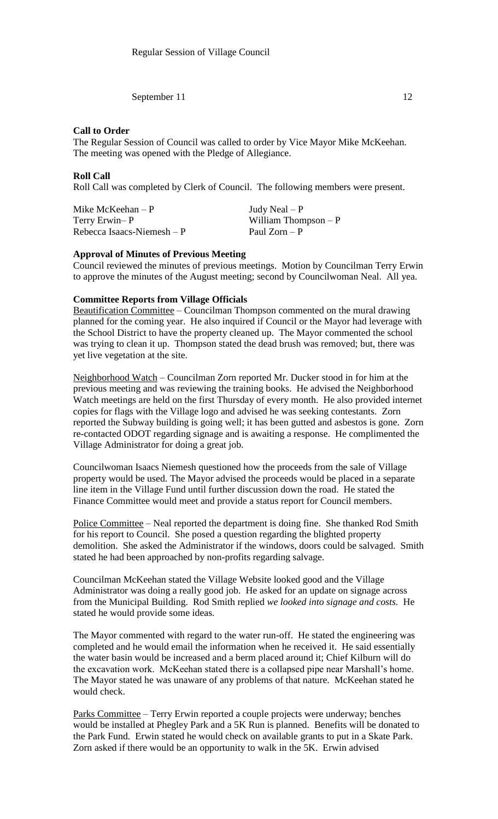September 11 12

# **Call to Order**

The Regular Session of Council was called to order by Vice Mayor Mike McKeehan. The meeting was opened with the Pledge of Allegiance.

# **Roll Call**

Roll Call was completed by Clerk of Council. The following members were present.

Mike McKeehan – P  $Judy$  Neal – P Terry Erwin– P William Thompson – P  $Rebecca Isaacs-Niemesh - P$  Paul Zorn – P

# **Approval of Minutes of Previous Meeting**

Council reviewed the minutes of previous meetings. Motion by Councilman Terry Erwin to approve the minutes of the August meeting; second by Councilwoman Neal. All yea.

## **Committee Reports from Village Officials**

Beautification Committee – Councilman Thompson commented on the mural drawing planned for the coming year. He also inquired if Council or the Mayor had leverage with the School District to have the property cleaned up. The Mayor commented the school was trying to clean it up. Thompson stated the dead brush was removed; but, there was yet live vegetation at the site.

Neighborhood Watch – Councilman Zorn reported Mr. Ducker stood in for him at the previous meeting and was reviewing the training books. He advised the Neighborhood Watch meetings are held on the first Thursday of every month. He also provided internet copies for flags with the Village logo and advised he was seeking contestants. Zorn reported the Subway building is going well; it has been gutted and asbestos is gone. Zorn re-contacted ODOT regarding signage and is awaiting a response. He complimented the Village Administrator for doing a great job.

Councilwoman Isaacs Niemesh questioned how the proceeds from the sale of Village property would be used. The Mayor advised the proceeds would be placed in a separate line item in the Village Fund until further discussion down the road. He stated the Finance Committee would meet and provide a status report for Council members.

Police Committee – Neal reported the department is doing fine. She thanked Rod Smith for his report to Council. She posed a question regarding the blighted property demolition. She asked the Administrator if the windows, doors could be salvaged. Smith stated he had been approached by non-profits regarding salvage.

Councilman McKeehan stated the Village Website looked good and the Village Administrator was doing a really good job. He asked for an update on signage across from the Municipal Building. Rod Smith replied *we looked into signage and costs.* He stated he would provide some ideas.

The Mayor commented with regard to the water run-off. He stated the engineering was completed and he would email the information when he received it. He said essentially the water basin would be increased and a berm placed around it; Chief Kilburn will do the excavation work. McKeehan stated there is a collapsed pipe near Marshall's home. The Mayor stated he was unaware of any problems of that nature. McKeehan stated he would check.

Parks Committee – Terry Erwin reported a couple projects were underway; benches would be installed at Phegley Park and a 5K Run is planned. Benefits will be donated to the Park Fund. Erwin stated he would check on available grants to put in a Skate Park. Zorn asked if there would be an opportunity to walk in the 5K. Erwin advised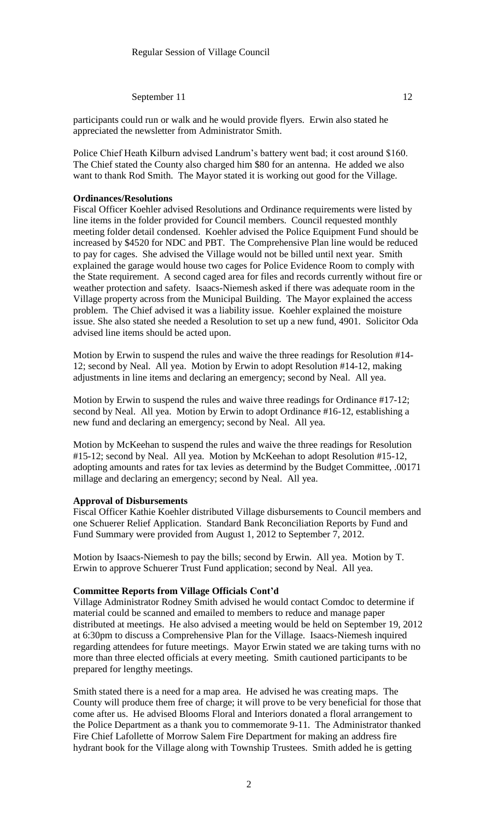September 11 12

participants could run or walk and he would provide flyers. Erwin also stated he appreciated the newsletter from Administrator Smith.

Police Chief Heath Kilburn advised Landrum's battery went bad; it cost around \$160. The Chief stated the County also charged him \$80 for an antenna. He added we also want to thank Rod Smith. The Mayor stated it is working out good for the Village.

#### **Ordinances/Resolutions**

Fiscal Officer Koehler advised Resolutions and Ordinance requirements were listed by line items in the folder provided for Council members. Council requested monthly meeting folder detail condensed. Koehler advised the Police Equipment Fund should be increased by \$4520 for NDC and PBT. The Comprehensive Plan line would be reduced to pay for cages. She advised the Village would not be billed until next year. Smith explained the garage would house two cages for Police Evidence Room to comply with the State requirement. A second caged area for files and records currently without fire or weather protection and safety. Isaacs-Niemesh asked if there was adequate room in the Village property across from the Municipal Building. The Mayor explained the access problem. The Chief advised it was a liability issue. Koehler explained the moisture issue. She also stated she needed a Resolution to set up a new fund, 4901. Solicitor Oda advised line items should be acted upon.

Motion by Erwin to suspend the rules and waive the three readings for Resolution #14- 12; second by Neal. All yea. Motion by Erwin to adopt Resolution #14-12, making adjustments in line items and declaring an emergency; second by Neal. All yea.

Motion by Erwin to suspend the rules and waive three readings for Ordinance #17-12; second by Neal. All yea. Motion by Erwin to adopt Ordinance #16-12, establishing a new fund and declaring an emergency; second by Neal. All yea.

Motion by McKeehan to suspend the rules and waive the three readings for Resolution #15-12; second by Neal. All yea. Motion by McKeehan to adopt Resolution #15-12, adopting amounts and rates for tax levies as determind by the Budget Committee, .00171 millage and declaring an emergency; second by Neal. All yea.

#### **Approval of Disbursements**

Fiscal Officer Kathie Koehler distributed Village disbursements to Council members and one Schuerer Relief Application. Standard Bank Reconciliation Reports by Fund and Fund Summary were provided from August 1, 2012 to September 7, 2012.

Motion by Isaacs-Niemesh to pay the bills; second by Erwin. All yea. Motion by T. Erwin to approve Schuerer Trust Fund application; second by Neal. All yea.

### **Committee Reports from Village Officials Cont'd**

Village Administrator Rodney Smith advised he would contact Comdoc to determine if material could be scanned and emailed to members to reduce and manage paper distributed at meetings. He also advised a meeting would be held on September 19, 2012 at 6:30pm to discuss a Comprehensive Plan for the Village. Isaacs-Niemesh inquired regarding attendees for future meetings. Mayor Erwin stated we are taking turns with no more than three elected officials at every meeting. Smith cautioned participants to be prepared for lengthy meetings.

Smith stated there is a need for a map area. He advised he was creating maps. The County will produce them free of charge; it will prove to be very beneficial for those that come after us. He advised Blooms Floral and Interiors donated a floral arrangement to the Police Department as a thank you to commemorate 9-11. The Administrator thanked Fire Chief Lafollette of Morrow Salem Fire Department for making an address fire hydrant book for the Village along with Township Trustees. Smith added he is getting